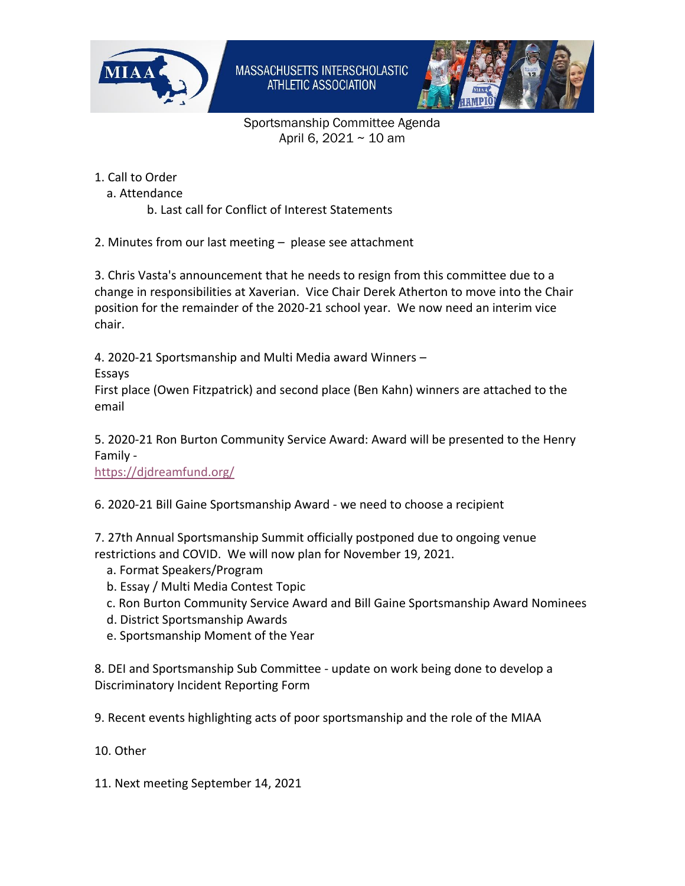



Sportsmanship Committee Agenda April 6, 2021 ~ 10 am

- 1. Call to Order
	- a. Attendance
		- b. Last call for Conflict of Interest Statements
- 2. Minutes from our last meeting please see attachment

3. Chris Vasta's announcement that he needs to resign from this committee due to a change in responsibilities at Xaverian. Vice Chair Derek Atherton to move into the Chair position for the remainder of the 2020-21 school year. We now need an interim vice chair.

4. 2020-21 Sportsmanship and Multi Media award Winners –

Essays

First place (Owen Fitzpatrick) and second place (Ben Kahn) winners are attached to the email

5. 2020-21 Ron Burton Community Service Award: Award will be presented to the Henry Family -

<https://djdreamfund.org/>

6. 2020-21 Bill Gaine Sportsmanship Award - we need to choose a recipient

7. 27th Annual Sportsmanship Summit officially postponed due to ongoing venue restrictions and COVID. We will now plan for November 19, 2021.

- a. Format Speakers/Program
- b. Essay / Multi Media Contest Topic
- c. Ron Burton Community Service Award and Bill Gaine Sportsmanship Award Nominees
- d. District Sportsmanship Awards
- e. Sportsmanship Moment of the Year

8. DEI and Sportsmanship Sub Committee - update on work being done to develop a Discriminatory Incident Reporting Form

9. Recent events highlighting acts of poor sportsmanship and the role of the MIAA

10. Other

11. Next meeting September 14, 2021